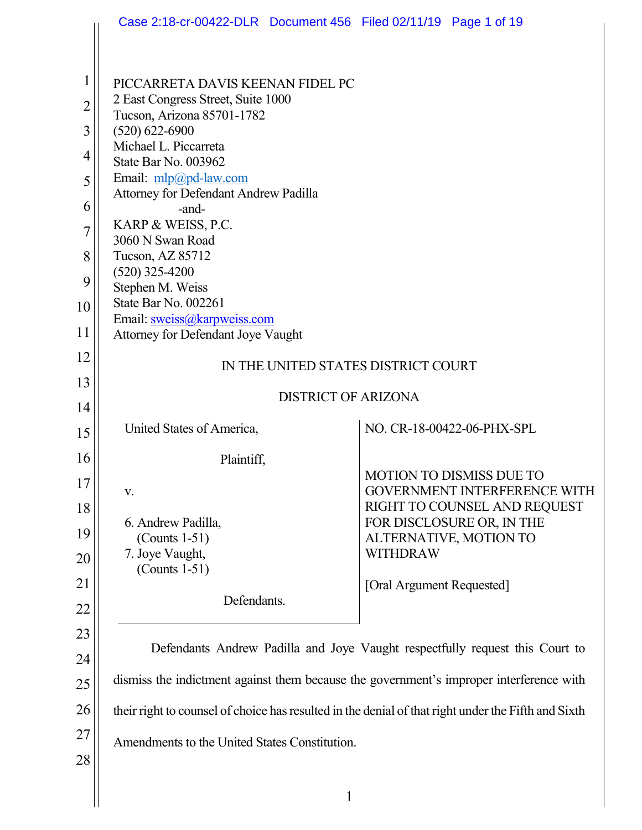|                                                                         | Case 2:18-cr-00422-DLR Document 456 Filed 02/11/19 Page 1 of 19                                                                                                                                                                                                                                                                                                                      |  |  |  |
|-------------------------------------------------------------------------|--------------------------------------------------------------------------------------------------------------------------------------------------------------------------------------------------------------------------------------------------------------------------------------------------------------------------------------------------------------------------------------|--|--|--|
|                                                                         |                                                                                                                                                                                                                                                                                                                                                                                      |  |  |  |
| $\mathbf{1}$<br>$\overline{2}$<br>3<br>4<br>5<br>6<br>7<br>8<br>9<br>10 | PICCARRETA DAVIS KEENAN FIDEL PC<br>2 East Congress Street, Suite 1000<br>Tucson, Arizona 85701-1782<br>$(520) 622 - 6900$<br>Michael L. Piccarreta<br>State Bar No. 003962<br>Email: mlp@pd-law.com<br>Attorney for Defendant Andrew Padilla<br>-and-<br>KARP & WEISS, P.C.<br>3060 N Swan Road<br>Tucson, AZ 85712<br>$(520)$ 325-4200<br>Stephen M. Weiss<br>State Bar No. 002261 |  |  |  |
| 11                                                                      | Email: sweiss@karpweiss.com<br>Attorney for Defendant Joye Vaught                                                                                                                                                                                                                                                                                                                    |  |  |  |
| 12                                                                      | IN THE UNITED STATES DISTRICT COURT                                                                                                                                                                                                                                                                                                                                                  |  |  |  |
| 13                                                                      | <b>DISTRICT OF ARIZONA</b>                                                                                                                                                                                                                                                                                                                                                           |  |  |  |
| 14                                                                      |                                                                                                                                                                                                                                                                                                                                                                                      |  |  |  |
| 15                                                                      | NO. CR-18-00422-06-PHX-SPL<br>United States of America,                                                                                                                                                                                                                                                                                                                              |  |  |  |
| 16                                                                      | Plaintiff,                                                                                                                                                                                                                                                                                                                                                                           |  |  |  |
| 17                                                                      | <b>MOTION TO DISMISS DUE TO</b><br>GOVERNMENT INTERFERENCE WITH<br>V.                                                                                                                                                                                                                                                                                                                |  |  |  |
| 18                                                                      | RIGHT TO COUNSEL AND REQUEST<br>FOR DISCLOSURE OR, IN THE<br>6. Andrew Padilla,                                                                                                                                                                                                                                                                                                      |  |  |  |
| 19                                                                      | $($ Counts 1-51 $)$<br>ALTERNATIVE, MOTION TO                                                                                                                                                                                                                                                                                                                                        |  |  |  |
| 20                                                                      | 7. Joye Vaught,<br><b>WITHDRAW</b><br>$($ Counts 1-51 $)$                                                                                                                                                                                                                                                                                                                            |  |  |  |
| 21                                                                      | [Oral Argument Requested]<br>Defendants.                                                                                                                                                                                                                                                                                                                                             |  |  |  |
| 22                                                                      |                                                                                                                                                                                                                                                                                                                                                                                      |  |  |  |
| 23                                                                      | Defendants Andrew Padilla and Joye Vaught respectfully request this Court to                                                                                                                                                                                                                                                                                                         |  |  |  |
| 24                                                                      | dismiss the indictment against them because the government's improper interference with                                                                                                                                                                                                                                                                                              |  |  |  |
| 25                                                                      |                                                                                                                                                                                                                                                                                                                                                                                      |  |  |  |
| 26                                                                      | their right to counsel of choice has resulted in the denial of that right under the Fifth and Sixth                                                                                                                                                                                                                                                                                  |  |  |  |
| 27<br>28                                                                | Amendments to the United States Constitution.                                                                                                                                                                                                                                                                                                                                        |  |  |  |
|                                                                         |                                                                                                                                                                                                                                                                                                                                                                                      |  |  |  |
|                                                                         | 1                                                                                                                                                                                                                                                                                                                                                                                    |  |  |  |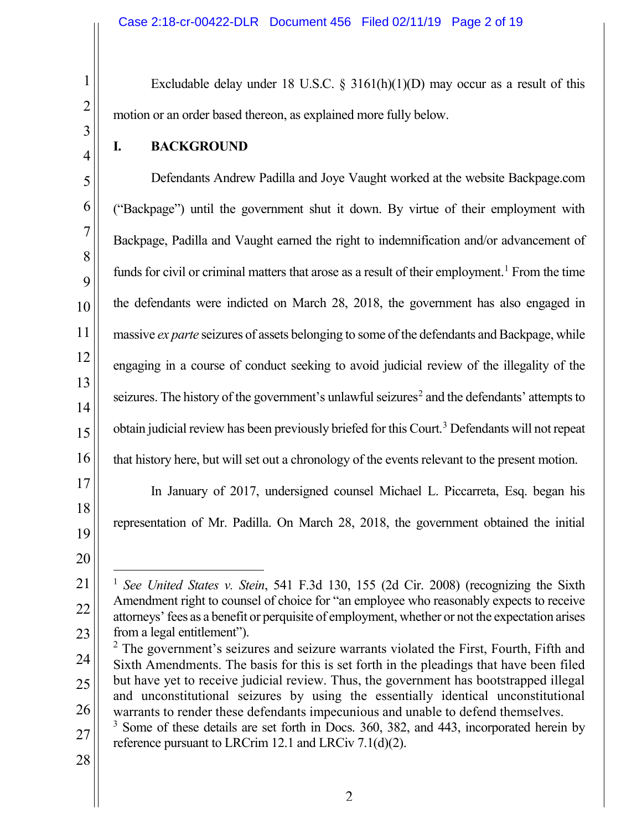Excludable delay under 18 U.S.C.  $\S$  3161(h)(1)(D) may occur as a result of this motion or an order based thereon, as explained more fully below.

**I. BACKGROUND**

1

2

3

4

5

6

7

8

9

10

11

12

13

14

15

16

17

Defendants Andrew Padilla and Joye Vaught worked at the website Backpage.com ("Backpage") until the government shut it down. By virtue of their employment with Backpage, Padilla and Vaught earned the right to indemnification and/or advancement of funds for civil or criminal matters that arose as a result of their employment.<sup>[1](#page-1-0)</sup> From the time the defendants were indicted on March 28, 2018, the government has also engaged in massive *ex parte* seizures of assets belonging to some of the defendants and Backpage, while engaging in a course of conduct seeking to avoid judicial review of the illegality of the seizures. The history of the government's unlawful seizures<sup>[2](#page-1-1)</sup> and the defendants' attempts to obtain judicial review has been previously briefed for this Court.<sup>3</sup> Defendants will not repeat that history here, but will set out a chronology of the events relevant to the present motion. In January of 2017, undersigned counsel Michael L. Piccarreta, Esq. began his

- 18
- 19 20

<span id="page-1-0"></span>21

22

23

representation of Mr. Padilla. On March 28, 2018, the government obtained the initial

28

 <sup>1</sup> *See United States v. Stein*, 541 F.3d 130, 155 (2d Cir. 2008) (recognizing the Sixth Amendment right to counsel of choice for "an employee who reasonably expects to receive attorneys' fees as a benefit or perquisite of employment, whether or not the expectation arises from a legal entitlement").

<span id="page-1-1"></span><sup>24</sup> 25 26  $2$  The government's seizures and seizure warrants violated the First, Fourth, Fifth and Sixth Amendments. The basis for this is set forth in the pleadings that have been filed but have yet to receive judicial review. Thus, the government has bootstrapped illegal and unconstitutional seizures by using the essentially identical unconstitutional warrants to render these defendants impecunious and unable to defend themselves.

<span id="page-1-2"></span><sup>27</sup> <sup>3</sup> Some of these details are set forth in Docs. 360, 382, and 443, incorporated herein by reference pursuant to LRCrim 12.1 and LRCiv 7.1(d)(2).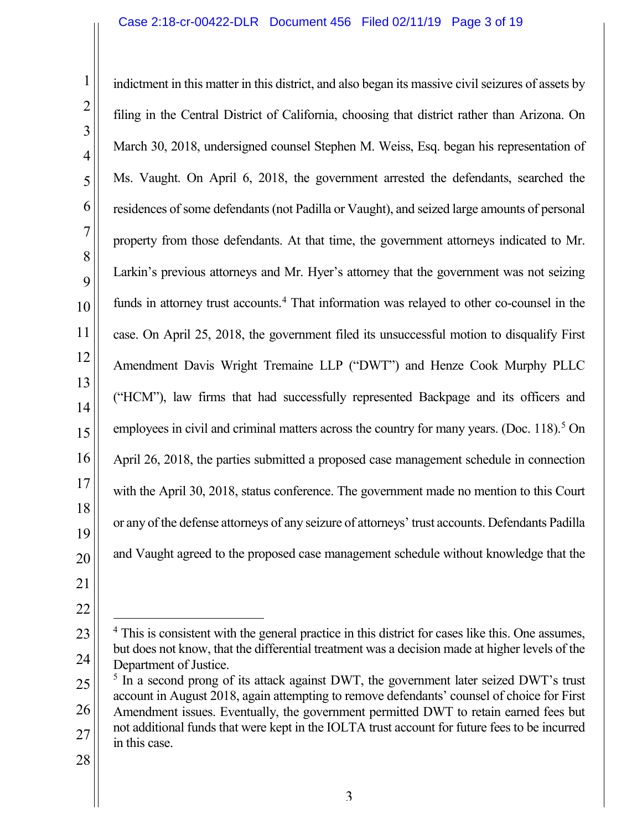indictment in this matter in this district, and also began its massive civil seizures of assets by filing in the Central District of California, choosing that district rather than Arizona. On March 30, 2018, undersigned counsel Stephen M. Weiss, Esq. began his representation of Ms. Vaught. On April 6, 2018, the government arrested the defendants, searched the residences of some defendants (not Padilla or Vaught), and seized large amounts of personal property from those defendants. At that time, the government attorneys indicated to Mr. Larkin's previous attorneys and Mr. Hyer's attorney that the government was not seizing funds in attorney trust accounts.<sup>[4](#page-2-0)</sup> That information was relayed to other co-counsel in the case. On April 25, 2018, the government filed its unsuccessful motion to disqualify First Amendment Davis Wright Tremaine LLP ("DWT") and Henze Cook Murphy PLLC ("HCM"), law firms that had successfully represented Backpage and its officers and employees in civil and criminal matters across the country for many years. (Doc. 118).<sup>[5](#page-2-1)</sup> On April 26, 2018, the parties submitted a proposed case management schedule in connection with the April 30, 2018, status conference. The government made no mention to this Court or any of the defense attorneys of any seizure of attorneys' trust accounts. Defendants Padilla and Vaught agreed to the proposed case management schedule without knowledge that the

<span id="page-2-0"></span><sup>&</sup>lt;sup>4</sup> This is consistent with the general practice in this district for cases like this. One assumes, but does not know, that the differential treatment was a decision made at higher levels of the Department of Justice.

<span id="page-2-1"></span><sup>26</sup> 27 <sup>5</sup> In a second prong of its attack against DWT, the government later seized DWT's trust account in August 2018, again attempting to remove defendants' counsel of choice for First Amendment issues. Eventually, the government permitted DWT to retain earned fees but not additional funds that were kept in the IOLTA trust account for future fees to be incurred in this case.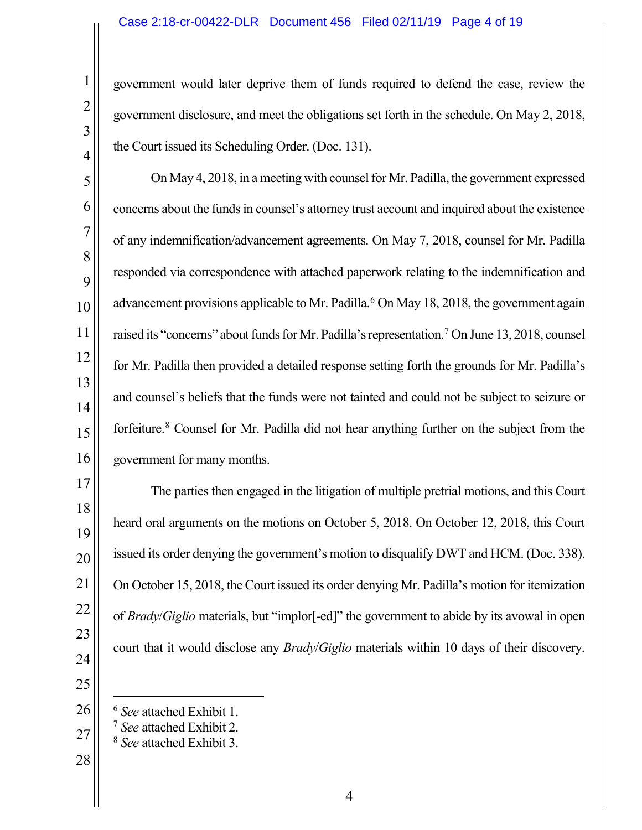government would later deprive them of funds required to defend the case, review the government disclosure, and meet the obligations set forth in the schedule. On May 2, 2018, the Court issued its Scheduling Order. (Doc. 131).

On May 4, 2018, in a meeting with counsel for Mr. Padilla, the government expressed concerns about the funds in counsel's attorney trust account and inquired about the existence of any indemnification/advancement agreements. On May 7, 2018, counsel for Mr. Padilla responded via correspondence with attached paperwork relating to the indemnification and advancement provisions applicable to Mr. Padilla.<sup>6</sup> On May 18, 2018, the government again raised its "concerns" about funds for Mr. Padilla's representation.<sup>[7](#page-3-1)</sup> On June 13, 2018, counsel for Mr. Padilla then provided a detailed response setting forth the grounds for Mr. Padilla's and counsel's beliefs that the funds were not tainted and could not be subject to seizure or forfeiture.<sup>[8](#page-3-2)</sup> Counsel for Mr. Padilla did not hear anything further on the subject from the government for many months.

The parties then engaged in the litigation of multiple pretrial motions, and this Court heard oral arguments on the motions on October 5, 2018. On October 12, 2018, this Court issued its order denying the government's motion to disqualify DWT and HCM. (Doc. 338). On October 15, 2018, the Court issued its order denying Mr. Padilla's motion for itemization of *Brady*/*Giglio* materials, but "implor[-ed]" the government to abide by its avowal in open court that it would disclose any *Brady*/*Giglio* materials within 10 days of their discovery.

 

<span id="page-3-0"></span>

<span id="page-3-2"></span><span id="page-3-1"></span>

- *See* attached Exhibit 3.
- 

*See* attached Exhibit 1. 7 *See* attached Exhibit 2.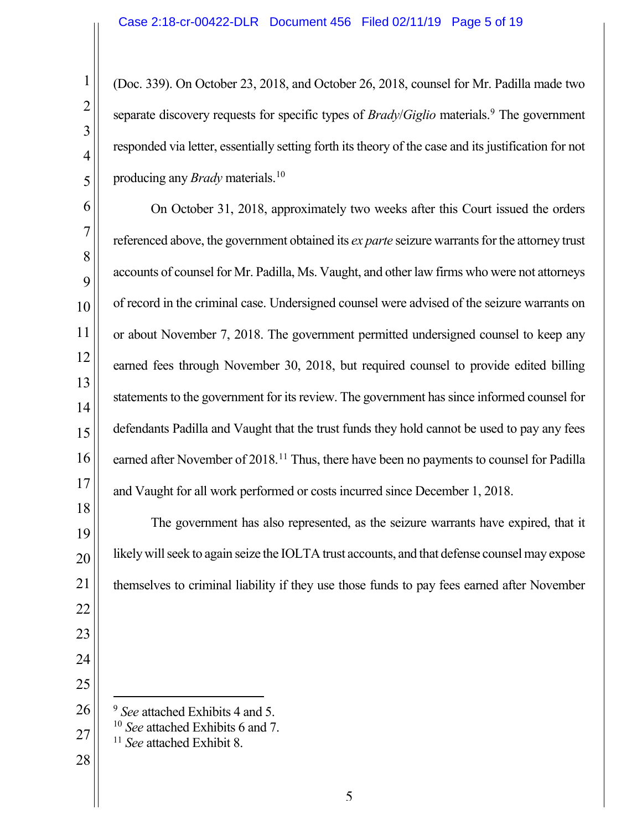(Doc. 339). On October 23, 2018, and October 26, 2018, counsel for Mr. Padilla made two separate discovery requests for specific types of *Brady/Giglio* materials.<sup>[9](#page-4-0)</sup> The government responded via letter, essentially setting forth its theory of the case and its justification for not producing any *Brady* materials.<sup>10</sup>

On October 31, 2018, approximately two weeks after this Court issued the orders referenced above, the government obtained its *ex parte* seizure warrants for the attorney trust accounts of counsel for Mr. Padilla, Ms. Vaught, and other law firms who were not attorneys of record in the criminal case. Undersigned counsel were advised of the seizure warrants on or about November 7, 2018. The government permitted undersigned counsel to keep any earned fees through November 30, 2018, but required counsel to provide edited billing statements to the government for its review. The government has since informed counsel for defendants Padilla and Vaught that the trust funds they hold cannot be used to pay any fees earned after November of 2018.<sup>[11](#page-4-2)</sup> Thus, there have been no payments to counsel for Padilla and Vaught for all work performed or costs incurred since December 1, 2018.

The government has also represented, as the seizure warrants have expired, that it likely will seek to again seize the IOLTA trust accounts, and that defense counsel may expose themselves to criminal liability if they use those funds to pay fees earned after November

- *See* attached Exhibits <sup>4</sup> and 5.
- *See* attached Exhibits 6 and 7.
	- *See* attached Exhibit 8.
- <span id="page-4-2"></span>

<span id="page-4-1"></span><span id="page-4-0"></span>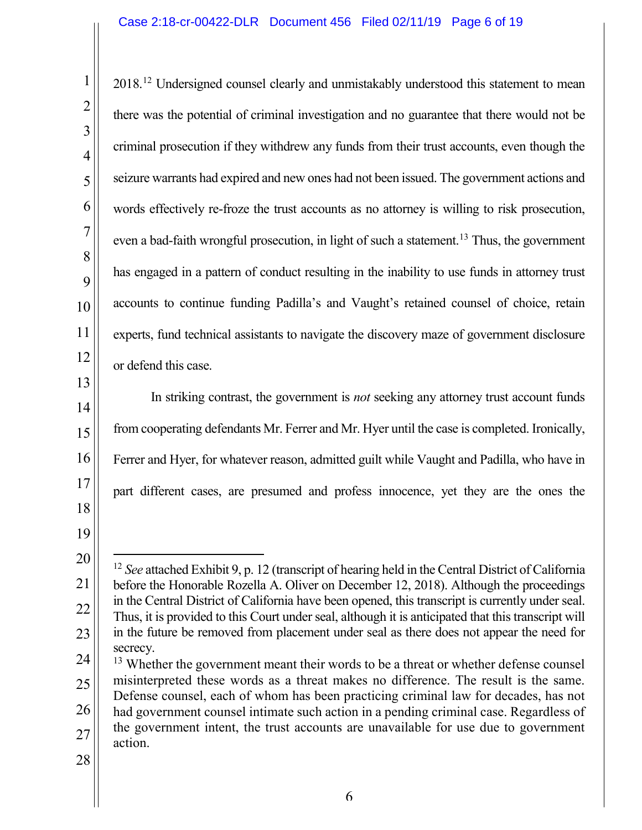2018.<sup>[12](#page-5-0)</sup> Undersigned counsel clearly and unmistakably understood this statement to mean there was the potential of criminal investigation and no guarantee that there would not be criminal prosecution if they withdrew any funds from their trust accounts, even though the seizure warrants had expired and new ones had not been issued. The government actions and words effectively re-froze the trust accounts as no attorney is willing to risk prosecution, even a bad-faith wrongful prosecution, in light of such a statement.<sup>13</sup> Thus, the government has engaged in a pattern of conduct resulting in the inability to use funds in attorney trust accounts to continue funding Padilla's and Vaught's retained counsel of choice, retain experts, fund technical assistants to navigate the discovery maze of government disclosure or defend this case.

In striking contrast, the government is *not* seeking any attorney trust account funds from cooperating defendants Mr. Ferrer and Mr. Hyer until the case is completed. Ironically, Ferrer and Hyer, for whatever reason, admitted guilt while Vaught and Padilla, who have in part different cases, are presumed and profess innocence, yet they are the ones the

- <span id="page-5-1"></span>25 26 27 <sup>13</sup> Whether the government meant their words to be a threat or whether defense counsel misinterpreted these words as a threat makes no difference. The result is the same. Defense counsel, each of whom has been practicing criminal law for decades, has not had government counsel intimate such action in a pending criminal case. Regardless of the government intent, the trust accounts are unavailable for use due to government action.
- 28

<span id="page-5-0"></span><sup>&</sup>lt;sup>12</sup> *See* attached Exhibit 9, p. 12 (transcript of hearing held in the Central District of California before the Honorable Rozella A. Oliver on December 12, 2018). Although the proceedings in the Central District of California have been opened, this transcript is currently under seal. Thus, it is provided to this Court under seal, although it is anticipated that this transcript will in the future be removed from placement under seal as there does not appear the need for secrecy.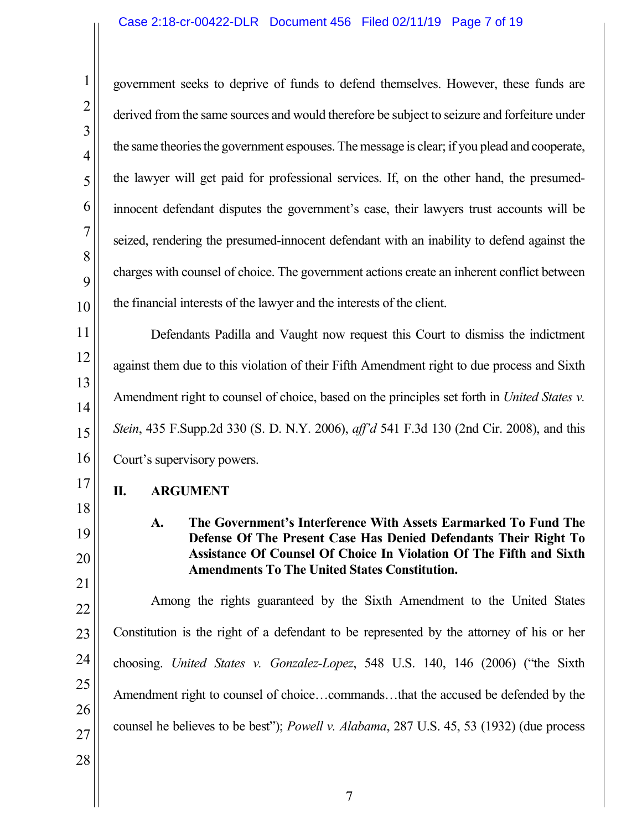1 2 3 4 5 6 7 8 9 10 11 12 13 14 15 16 17 18 19 20 21 22 23 24 25 26 27 28 government seeks to deprive of funds to defend themselves. However, these funds are derived from the same sources and would therefore be subject to seizure and forfeiture under the same theories the government espouses. The message is clear; if you plead and cooperate, the lawyer will get paid for professional services. If, on the other hand, the presumedinnocent defendant disputes the government's case, their lawyers trust accounts will be seized, rendering the presumed-innocent defendant with an inability to defend against the charges with counsel of choice. The government actions create an inherent conflict between the financial interests of the lawyer and the interests of the client. Defendants Padilla and Vaught now request this Court to dismiss the indictment against them due to this violation of their Fifth Amendment right to due process and Sixth Amendment right to counsel of choice, based on the principles set forth in *United States v. Stein*, 435 F.Supp.2d 330 (S. D. N.Y. 2006), *aff'd* 541 F.3d 130 (2nd Cir. 2008), and this Court's supervisory powers. **II. ARGUMENT A. The Government's Interference With Assets Earmarked To Fund The Defense Of The Present Case Has Denied Defendants Their Right To Assistance Of Counsel Of Choice In Violation Of The Fifth and Sixth Amendments To The United States Constitution.** Among the rights guaranteed by the Sixth Amendment to the United States Constitution is the right of a defendant to be represented by the attorney of his or her choosing. *United States v. Gonzalez-Lopez*, 548 U.S. 140, 146 (2006) ("the Sixth Amendment right to counsel of choice…commands…that the accused be defended by the counsel he believes to be best"); *Powell v. Alabama*, 287 U.S. 45, 53 (1932) (due process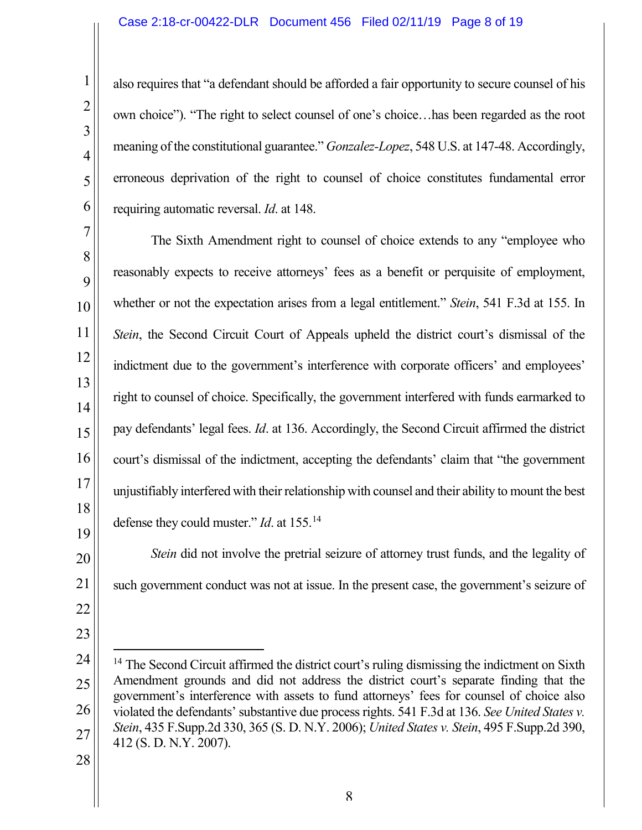also requires that "a defendant should be afforded a fair opportunity to secure counsel of his own choice"). "The right to select counsel of one's choice…has been regarded as the root meaning of the constitutional guarantee." *Gonzalez-Lopez*, 548 U.S. at 147-48. Accordingly, erroneous deprivation of the right to counsel of choice constitutes fundamental error requiring automatic reversal. *Id*. at 148.

The Sixth Amendment right to counsel of choice extends to any "employee who reasonably expects to receive attorneys' fees as a benefit or perquisite of employment, whether or not the expectation arises from a legal entitlement." *Stein*, 541 F.3d at 155. In *Stein*, the Second Circuit Court of Appeals upheld the district court's dismissal of the indictment due to the government's interference with corporate officers' and employees' right to counsel of choice. Specifically, the government interfered with funds earmarked to pay defendants' legal fees. *Id*. at 136. Accordingly, the Second Circuit affirmed the district court's dismissal of the indictment, accepting the defendants' claim that "the government unjustifiably interfered with their relationship with counsel and their ability to mount the best defense they could muster." *Id*. at 155.[14](#page-7-0)

*Stein* did not involve the pretrial seizure of attorney trust funds, and the legality of such government conduct was not at issue. In the present case, the government's seizure of

<span id="page-7-0"></span><sup>26</sup> 27 <sup>14</sup> The Second Circuit affirmed the district court's ruling dismissing the indictment on Sixth Amendment grounds and did not address the district court's separate finding that the government's interference with assets to fund attorneys' fees for counsel of choice also violated the defendants'substantive due process rights. 541 F.3d at 136. *See United States v. Stein*, 435 F.Supp.2d 330, 365 (S. D. N.Y. 2006); *United States v. Stein*, 495 F.Supp.2d 390, 412 (S. D. N.Y. 2007).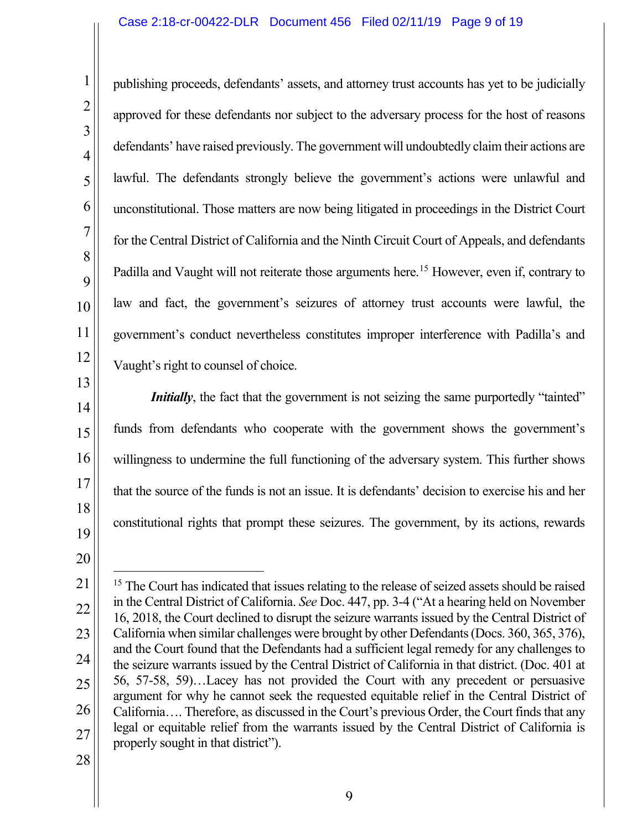publishing proceeds, defendants' assets, and attorney trust accounts has yet to be judicially approved for these defendants nor subject to the adversary process for the host of reasons defendants' have raised previously. The government will undoubtedly claim their actions are lawful. The defendants strongly believe the government's actions were unlawful and unconstitutional. Those matters are now being litigated in proceedings in the District Court for the Central District of California and the Ninth Circuit Court of Appeals, and defendants Padilla and Vaught will not reiterate those arguments here.<sup>[15](#page-8-0)</sup> However, even if, contrary to law and fact, the government's seizures of attorney trust accounts were lawful, the government's conduct nevertheless constitutes improper interference with Padilla's and Vaught's right to counsel of choice.

*Initially*, the fact that the government is not seizing the same purportedly "tainted" funds from defendants who cooperate with the government shows the government's willingness to undermine the full functioning of the adversary system. This further shows that the source of the funds is not an issue. It is defendants' decision to exercise his and her constitutional rights that prompt these seizures. The government, by its actions, rewards

<span id="page-8-0"></span><sup>23</sup> 24 25 26 27 <sup>15</sup> The Court has indicated that issues relating to the release of seized assets should be raised in the Central District of California. *See* Doc. 447, pp. 3-4 ("At a hearing held on November 16, 2018, the Court declined to disrupt the seizure warrants issued by the Central District of California when similar challenges were brought by other Defendants (Docs. 360, 365, 376), and the Court found that the Defendants had a sufficient legal remedy for any challenges to the seizure warrants issued by the Central District of California in that district. (Doc. 401 at 56, 57-58, 59)…Lacey has not provided the Court with any precedent or persuasive argument for why he cannot seek the requested equitable relief in the Central District of California…. Therefore, as discussed in the Court's previous Order, the Court finds that any legal or equitable relief from the warrants issued by the Central District of California is properly sought in that district").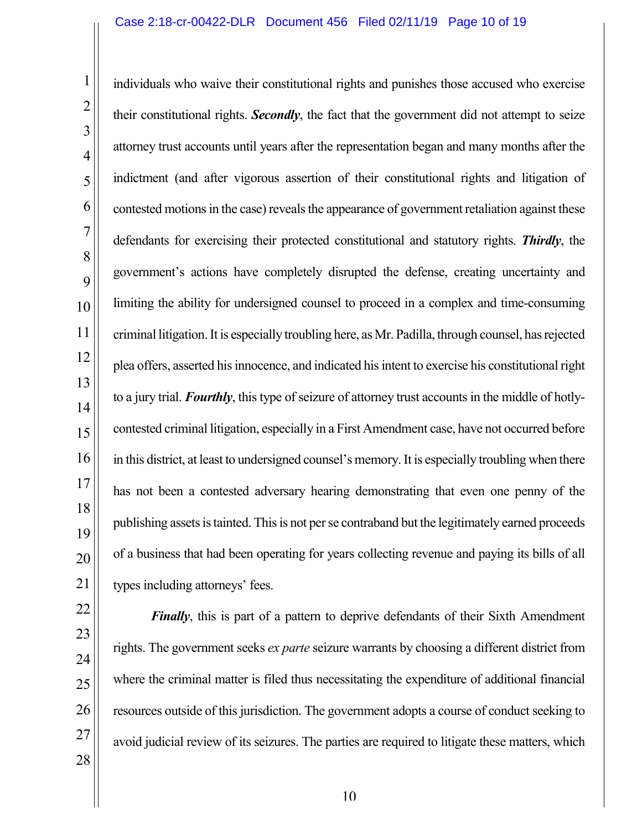27

28

individuals who waive their constitutional rights and punishes those accused who exercise their constitutional rights. *Secondly*, the fact that the government did not attempt to seize attorney trust accounts until years after the representation began and many months after the indictment (and after vigorous assertion of their constitutional rights and litigation of contested motions in the case) reveals the appearance of government retaliation against these defendants for exercising their protected constitutional and statutory rights. *Thirdly*, the government's actions have completely disrupted the defense, creating uncertainty and limiting the ability for undersigned counsel to proceed in a complex and time-consuming criminal litigation. It is especially troubling here, as Mr. Padilla, through counsel, has rejected plea offers, asserted his innocence, and indicated his intent to exercise his constitutional right to a jury trial. *Fourthly*, this type of seizure of attorney trust accounts in the middle of hotlycontested criminal litigation, especially in a First Amendment case, have not occurred before in this district, at least to undersigned counsel's memory. It is especially troubling when there has not been a contested adversary hearing demonstrating that even one penny of the publishing assets is tainted. This is not per se contraband but the legitimately earned proceeds of a business that had been operating for years collecting revenue and paying its bills of all types including attorneys' fees.

*Finally*, this is part of a pattern to deprive defendants of their Sixth Amendment rights. The government seeks *ex parte* seizure warrants by choosing a different district from where the criminal matter is filed thus necessitating the expenditure of additional financial resources outside of this jurisdiction. The government adopts a course of conduct seeking to avoid judicial review of its seizures. The parties are required to litigate these matters, which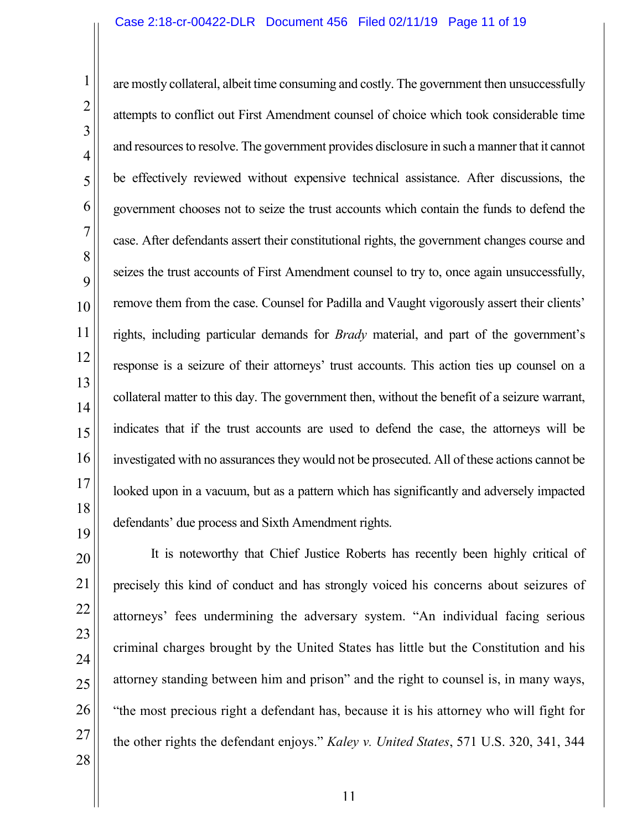are mostly collateral, albeit time consuming and costly. The government then unsuccessfully attempts to conflict out First Amendment counsel of choice which took considerable time and resources to resolve. The government provides disclosure in such a manner that it cannot be effectively reviewed without expensive technical assistance. After discussions, the government chooses not to seize the trust accounts which contain the funds to defend the case. After defendants assert their constitutional rights, the government changes course and seizes the trust accounts of First Amendment counsel to try to, once again unsuccessfully, remove them from the case. Counsel for Padilla and Vaught vigorously assert their clients' rights, including particular demands for *Brady* material, and part of the government's response is a seizure of their attorneys' trust accounts. This action ties up counsel on a collateral matter to this day. The government then, without the benefit of a seizure warrant, indicates that if the trust accounts are used to defend the case, the attorneys will be investigated with no assurances they would not be prosecuted. All of these actions cannot be looked upon in a vacuum, but as a pattern which has significantly and adversely impacted defendants' due process and Sixth Amendment rights.

It is noteworthy that Chief Justice Roberts has recently been highly critical of precisely this kind of conduct and has strongly voiced his concerns about seizures of attorneys' fees undermining the adversary system. "An individual facing serious criminal charges brought by the United States has little but the Constitution and his attorney standing between him and prison" and the right to counsel is, in many ways, "the most precious right a defendant has, because it is his attorney who will fight for the other rights the defendant enjoys." *Kaley v. United States*, 571 U.S. 320, 341, 344

25

26

27

28

1

2

3

4

5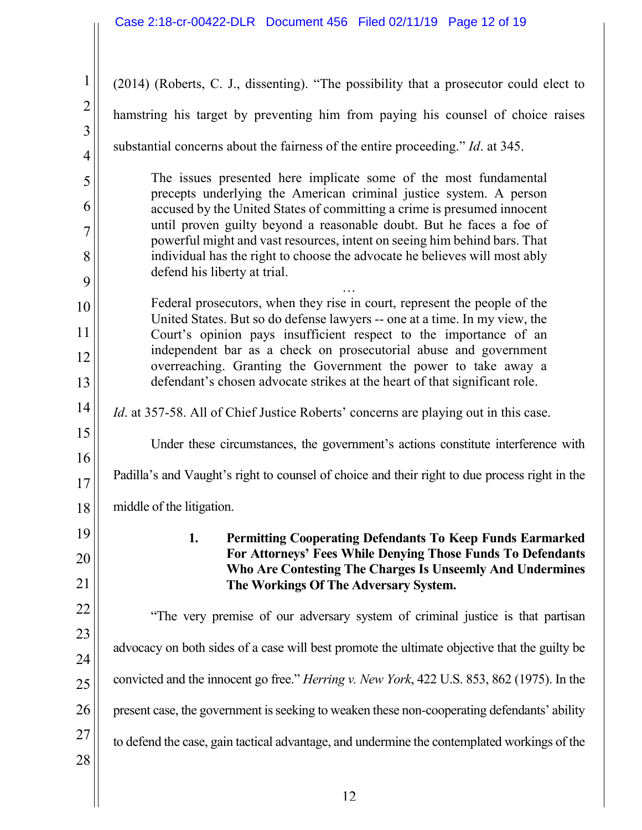| $\mathbf{1}$                     | (2014) (Roberts, C. J., dissenting). "The possibility that a prosecutor could elect to                                                                  |  |
|----------------------------------|---------------------------------------------------------------------------------------------------------------------------------------------------------|--|
| $\overline{2}$                   | hamstring his target by preventing him from paying his counsel of choice raises                                                                         |  |
| $\overline{3}$<br>$\overline{4}$ | substantial concerns about the fairness of the entire proceeding." Id. at 345.                                                                          |  |
| 5                                | The issues presented here implicate some of the most fundamental                                                                                        |  |
| 6                                | precepts underlying the American criminal justice system. A person<br>accused by the United States of committing a crime is presumed innocent           |  |
| $\overline{7}$                   | until proven guilty beyond a reasonable doubt. But he faces a foe of<br>powerful might and vast resources, intent on seeing him behind bars. That       |  |
| 8                                | individual has the right to choose the advocate he believes will most ably<br>defend his liberty at trial.                                              |  |
| 9                                |                                                                                                                                                         |  |
| 10                               | Federal prosecutors, when they rise in court, represent the people of the<br>United States. But so do defense lawyers -- one at a time. In my view, the |  |
| 11                               | Court's opinion pays insufficient respect to the importance of an<br>independent bar as a check on prosecutorial abuse and government                   |  |
| 12                               | overreaching. Granting the Government the power to take away a                                                                                          |  |
| 13                               | defendant's chosen advocate strikes at the heart of that significant role.                                                                              |  |
| 14                               | <i>Id.</i> at 357-58. All of Chief Justice Roberts' concerns are playing out in this case.                                                              |  |
| 15                               | Under these circumstances, the government's actions constitute interference with                                                                        |  |
| 16<br>17                         | Padilla's and Vaught's right to counsel of choice and their right to due process right in the                                                           |  |
| 18                               | middle of the litigation.                                                                                                                               |  |
| 19                               | 1.<br><b>Permitting Cooperating Defendants To Keep Funds Earmarked</b>                                                                                  |  |
| 20                               | For Attorneys' Fees While Denying Those Funds To Defendants<br>Who Are Contesting The Charges Is Unseemly And Undermines                                |  |
| 21                               | The Workings Of The Adversary System.                                                                                                                   |  |
| 22                               | "The very premise of our adversary system of criminal justice is that partisan                                                                          |  |
| 23                               | advocacy on both sides of a case will best promote the ultimate objective that the guilty be                                                            |  |
| 24                               |                                                                                                                                                         |  |
| 25                               | convicted and the innocent go free." <i>Herring v. New York</i> , 422 U.S. 853, 862 (1975). In the                                                      |  |
| 26                               | present case, the government is seeking to weaken these non-cooperating defendants' ability                                                             |  |
| 27                               | to defend the case, gain tactical advantage, and undermine the contemplated workings of the                                                             |  |
| 28                               |                                                                                                                                                         |  |
|                                  | 12                                                                                                                                                      |  |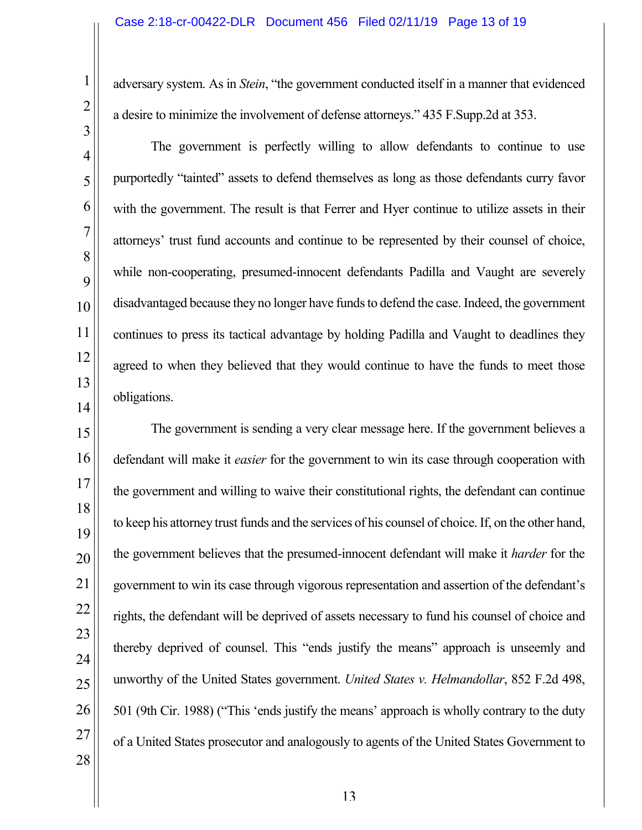adversary system. As in *Stein*, "the government conducted itself in a manner that evidenced a desire to minimize the involvement of defense attorneys." 435 F.Supp.2d at 353.

The government is perfectly willing to allow defendants to continue to use purportedly "tainted" assets to defend themselves as long as those defendants curry favor with the government. The result is that Ferrer and Hyer continue to utilize assets in their attorneys' trust fund accounts and continue to be represented by their counsel of choice, while non-cooperating, presumed-innocent defendants Padilla and Vaught are severely disadvantaged because they no longer have funds to defend the case. Indeed, the government continues to press its tactical advantage by holding Padilla and Vaught to deadlines they agreed to when they believed that they would continue to have the funds to meet those obligations.

The government is sending a very clear message here. If the government believes a defendant will make it *easier* for the government to win its case through cooperation with the government and willing to waive their constitutional rights, the defendant can continue to keep his attorney trust funds and the services of his counsel of choice. If, on the other hand, the government believes that the presumed-innocent defendant will make it *harder* for the government to win its case through vigorous representation and assertion of the defendant's rights, the defendant will be deprived of assets necessary to fund his counsel of choice and thereby deprived of counsel. This "ends justify the means" approach is unseemly and unworthy of the United States government. *United States v. Helmandollar*, 852 F.2d 498, 501 (9th Cir. 1988) ("This 'ends justify the means' approach is wholly contrary to the duty of a United States prosecutor and analogously to agents of the United States Government to

28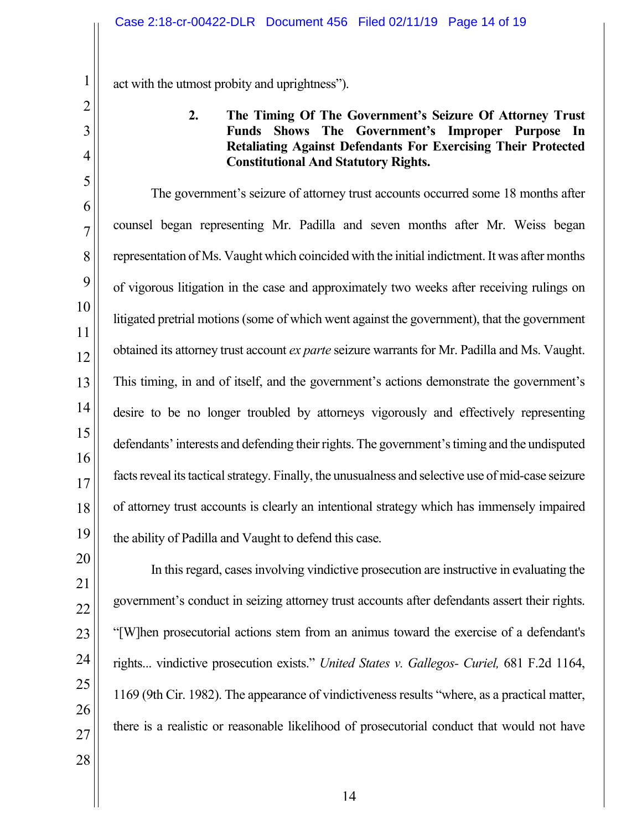act with the utmost probity and uprightness").

## **2. The Timing Of The Government's Seizure Of Attorney Trust Funds Shows The Government's Improper Purpose In Retaliating Against Defendants For Exercising Their Protected Constitutional And Statutory Rights.**

The government's seizure of attorney trust accounts occurred some 18 months after counsel began representing Mr. Padilla and seven months after Mr. Weiss began representation of Ms. Vaught which coincided with the initial indictment. It was after months of vigorous litigation in the case and approximately two weeks after receiving rulings on litigated pretrial motions (some of which went against the government), that the government obtained its attorney trust account *ex parte* seizure warrantsfor Mr. Padilla and Ms. Vaught. This timing, in and of itself, and the government's actions demonstrate the government's desire to be no longer troubled by attorneys vigorously and effectively representing defendants' interests and defending their rights. The government's timing and the undisputed facts reveal its tactical strategy. Finally, the unusualness and selective use of mid-case seizure of attorney trust accounts is clearly an intentional strategy which has immensely impaired the ability of Padilla and Vaught to defend this case.

1

2

3

4

5

6

7

8

9

10

11

12

13

14

15

16

17

18

19

In this regard, cases involving vindictive prosecution are instructive in evaluating the government's conduct in seizing attorney trust accounts after defendants assert their rights. "[W]hen prosecutorial actions stem from an animus toward the exercise of a defendant's rights... vindictive prosecution exists." *United States v. Gallegos- Curiel,* 681 F.2d 1164, 1169 (9th Cir. 1982). The appearance of vindictiveness results "where, as a practical matter, there is a realistic or reasonable likelihood of prosecutorial conduct that would not have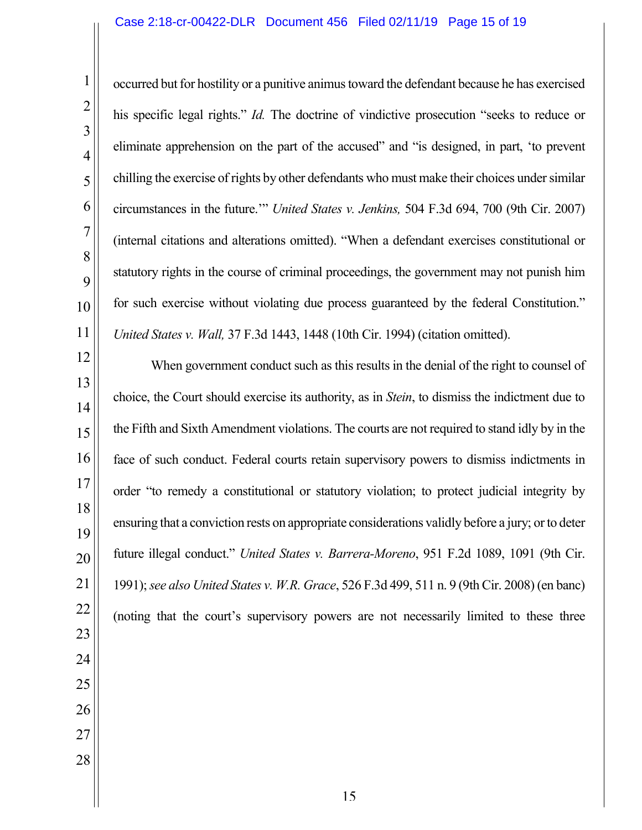occurred but for hostility or a punitive animus toward the defendant because he has exercised his specific legal rights." *Id.* The doctrine of vindictive prosecution "seeks to reduce or eliminate apprehension on the part of the accused" and "is designed, in part, 'to prevent chilling the exercise of rights by other defendants who must make their choices under similar circumstances in the future.'" *United States v. Jenkins,* 504 F.3d 694, 700 (9th Cir. 2007) (internal citations and alterations omitted). "When a defendant exercises constitutional or statutory rights in the course of criminal proceedings, the government may not punish him for such exercise without violating due process guaranteed by the federal Constitution." *United States v. Wall,* 37 F.3d 1443, 1448 (10th Cir. 1994) (citation omitted).

When government conduct such as this results in the denial of the right to counsel of choice, the Court should exercise its authority, as in *Stein*, to dismiss the indictment due to the Fifth and Sixth Amendment violations. The courts are not required to stand idly by in the face of such conduct. Federal courts retain supervisory powers to dismiss indictments in order "to remedy a constitutional or statutory violation; to protect judicial integrity by ensuring that a conviction rests on appropriate considerations validly before a jury; or to deter future illegal conduct." *United States v. Barrera-Moreno*, 951 F.2d 1089, 1091 (9th Cir. 1991); *see also United States v. W.R. Grace*, 526 F.3d 499, 511 n. 9 (9th Cir. 2008) (en banc) (noting that the court's supervisory powers are not necessarily limited to these three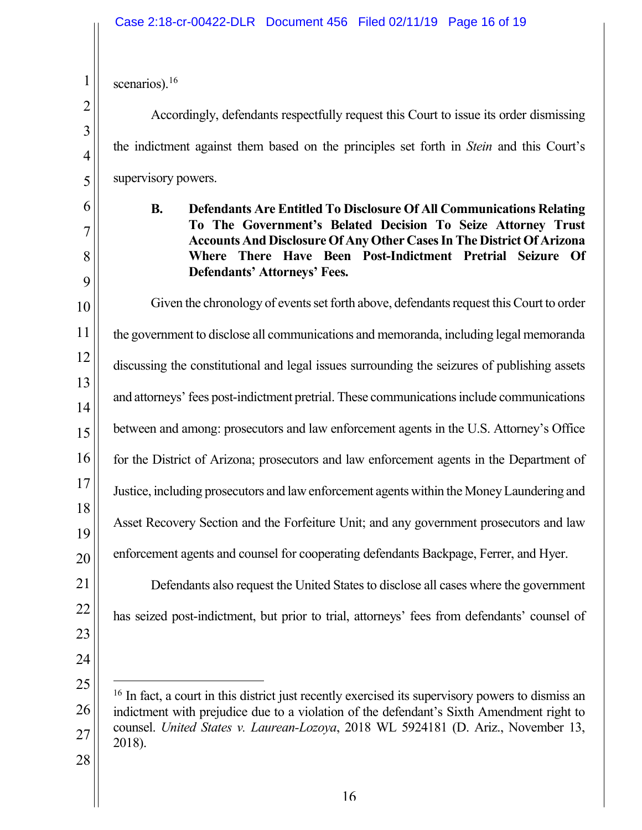scenarios).<sup>[16](#page-15-0)</sup>

1

2

3

4

5

6

7

8

9

Accordingly, defendants respectfully request this Court to issue its order dismissing the indictment against them based on the principles set forth in *Stein* and this Court's supervisory powers.

**B. Defendants Are Entitled To Disclosure Of All Communications Relating To The Government's Belated Decision To Seize Attorney Trust Accounts And Disclosure Of Any Other Cases In The District Of Arizona Where There Have Been Post-Indictment Pretrial Seizure Of Defendants' Attorneys' Fees.**

10 11 12 13 14 15 16 17 18 19 Given the chronology of events set forth above, defendants request this Court to order the government to disclose all communications and memoranda, including legal memoranda discussing the constitutional and legal issues surrounding the seizures of publishing assets and attorneys' fees post-indictment pretrial. These communications include communications between and among: prosecutors and law enforcement agents in the U.S. Attorney's Office for the District of Arizona; prosecutors and law enforcement agents in the Department of Justice, including prosecutors and law enforcement agents within the Money Laundering and Asset Recovery Section and the Forfeiture Unit; and any government prosecutors and law enforcement agents and counsel for cooperating defendants Backpage, Ferrer, and Hyer.

<span id="page-15-0"></span>27

28

<sup>16</sup> In fact, a court in this district just recently exercised its supervisory powers to dismiss an

has seized post-indictment, but prior to trial, attorneys' fees from defendants' counsel of

Defendants also request the United States to disclose all cases where the government

indictment with prejudice due to a violation of the defendant's Sixth Amendment right to counsel. *United States v. Laurean-Lozoya*, 2018 WL 5924181 (D. Ariz., November 13, 2018).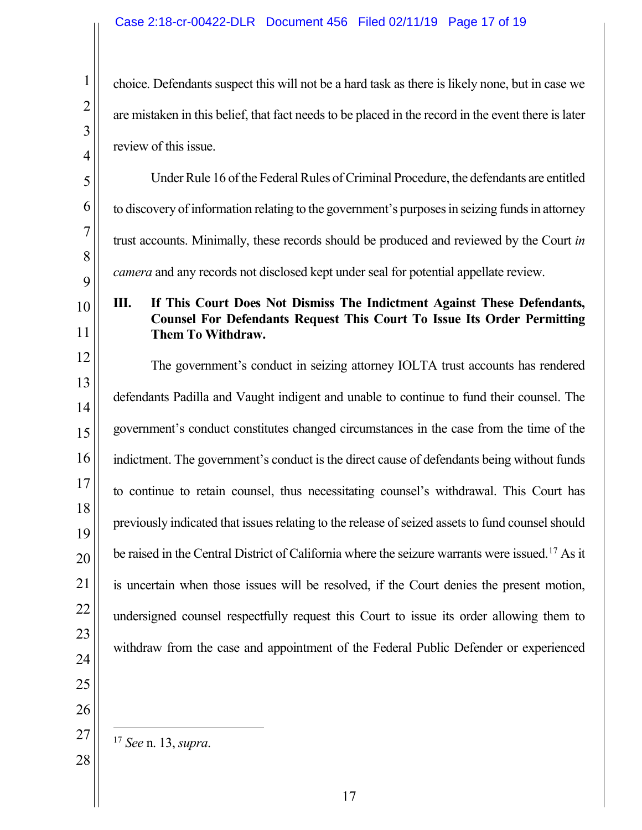choice. Defendants suspect this will not be a hard task as there is likely none, but in case we are mistaken in this belief, that fact needs to be placed in the record in the event there is later review of this issue.

5 6 7 8 9 10 11 12 13 14 15 16 17 18 19 Under Rule 16 of the Federal Rules of Criminal Procedure, the defendants are entitled to discovery of information relating to the government's purposes in seizing funds in attorney trust accounts. Minimally, these records should be produced and reviewed by the Court *in camera* and any records not disclosed kept under seal for potential appellate review. **III. If This Court Does Not Dismiss The Indictment Against These Defendants, Counsel For Defendants Request This Court To Issue Its Order Permitting Them To Withdraw.** The government's conduct in seizing attorney IOLTA trust accounts has rendered defendants Padilla and Vaught indigent and unable to continue to fund their counsel. The government's conduct constitutes changed circumstances in the case from the time of the indictment. The government's conduct is the direct cause of defendants being without funds to continue to retain counsel, thus necessitating counsel's withdrawal. This Court has previously indicated that issues relating to the release of seized assets to fund counsel should

1

2

3

4

- 25 26
- 17 *See* n. 13, *supra*.

<span id="page-16-0"></span>27

be raised in the Central District of California where the seizure warrants were issued. [17](#page-16-0) As it

is uncertain when those issues will be resolved, if the Court denies the present motion,

undersigned counsel respectfully request this Court to issue its order allowing them to

withdraw from the case and appointment of the Federal Public Defender or experienced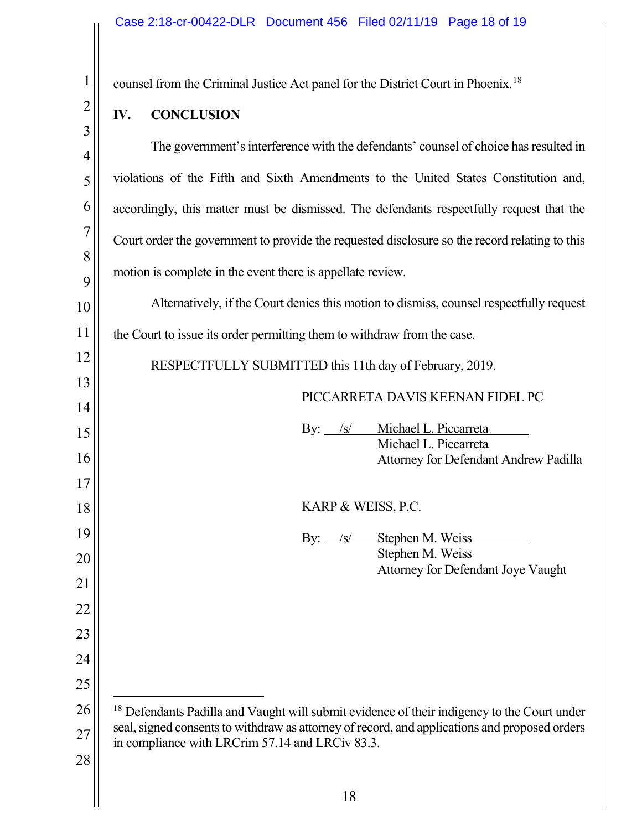counsel from the Criminal Justice Act panel for the District Court in Phoenix. [18](#page-17-0)

## **IV. CONCLUSION**

The government's interference with the defendants' counsel of choice has resulted in violations of the Fifth and Sixth Amendments to the United States Constitution and, accordingly, this matter must be dismissed. The defendants respectfully request that the Court order the government to provide the requested disclosure so the record relating to this motion is complete in the event there is appellate review.

Alternatively, if the Court denies this motion to dismiss, counsel respectfully request the Court to issue its order permitting them to withdraw from the case.

RESPECTFULLY SUBMITTED this 11th day of February, 2019.

## PICCARRETA DAVIS KEENAN FIDEL PC

| $\sqrt{s}$<br>By:  | Michael L. Piccarreta                        |
|--------------------|----------------------------------------------|
|                    | Michael L. Piccarreta                        |
|                    | <b>Attorney for Defendant Andrew Padilla</b> |
|                    |                                              |
|                    |                                              |
| KARP & WEISS, P.C. |                                              |
|                    |                                              |
| By: $/s/$          | Stephen M. Weiss                             |
|                    |                                              |
|                    | Stephen M. Weiss                             |

Attorney for Defendant Joye Vaught

<span id="page-17-0"></span><sup>&</sup>lt;sup>18</sup> Defendants Padilla and Vaught will submit evidence of their indigency to the Court under seal, signed consents to withdraw as attorney of record, and applications and proposed orders in compliance with LRCrim 57.14 and LRCiv 83.3.